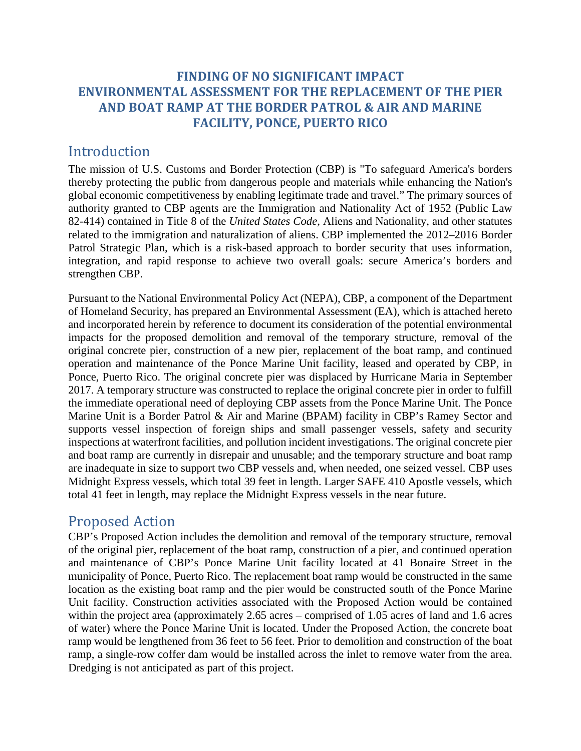## **FINDING OF NO SIGNIFICANT IMPACT ENVIRONMENTAL ASSESSMENT FOR THE REPLACEMENT OF THE PIER AND BOAT RAMP AT THE BORDER PATROL & AIR AND MARINE FACILITY, PONCE, PUERTO RICO**

## Introduction

The mission of U.S. Customs and Border Protection (CBP) is "To safeguard America's borders thereby protecting the public from dangerous people and materials while enhancing the Nation's global economic competitiveness by enabling legitimate trade and travel." The primary sources of authority granted to CBP agents are the Immigration and Nationality Act of 1952 (Public Law 82-414) contained in Title 8 of the *United States Code*, Aliens and Nationality, and other statutes related to the immigration and naturalization of aliens. CBP implemented the 2012–2016 Border Patrol Strategic Plan, which is a risk-based approach to border security that uses information, integration, and rapid response to achieve two overall goals: secure America's borders and strengthen CBP.

Pursuant to the National Environmental Policy Act (NEPA), CBP, a component of the Department of Homeland Security, has prepared an Environmental Assessment (EA), which is attached hereto and incorporated herein by reference to document its consideration of the potential environmental impacts for the proposed demolition and removal of the temporary structure, removal of the original concrete pier, construction of a new pier, replacement of the boat ramp, and continued operation and maintenance of the Ponce Marine Unit facility, leased and operated by CBP, in Ponce, Puerto Rico. The original concrete pier was displaced by Hurricane Maria in September 2017. A temporary structure was constructed to replace the original concrete pier in order to fulfill the immediate operational need of deploying CBP assets from the Ponce Marine Unit. The Ponce Marine Unit is a Border Patrol & Air and Marine (BPAM) facility in CBP's Ramey Sector and supports vessel inspection of foreign ships and small passenger vessels, safety and security inspections at waterfront facilities, and pollution incident investigations. The original concrete pier and boat ramp are currently in disrepair and unusable; and the temporary structure and boat ramp are inadequate in size to support two CBP vessels and, when needed, one seized vessel. CBP uses Midnight Express vessels, which total 39 feet in length. Larger SAFE 410 Apostle vessels, which total 41 feet in length, may replace the Midnight Express vessels in the near future.

## Proposed Action

CBP's Proposed Action includes the demolition and removal of the temporary structure, removal of the original pier, replacement of the boat ramp, construction of a pier, and continued operation and maintenance of CBP's Ponce Marine Unit facility located at 41 Bonaire Street in the municipality of Ponce, Puerto Rico. The replacement boat ramp would be constructed in the same location as the existing boat ramp and the pier would be constructed south of the Ponce Marine Unit facility. Construction activities associated with the Proposed Action would be contained within the project area (approximately 2.65 acres – comprised of 1.05 acres of land and 1.6 acres of water) where the Ponce Marine Unit is located. Under the Proposed Action, the concrete boat ramp would be lengthened from 36 feet to 56 feet. Prior to demolition and construction of the boat ramp, a single-row coffer dam would be installed across the inlet to remove water from the area. Dredging is not anticipated as part of this project.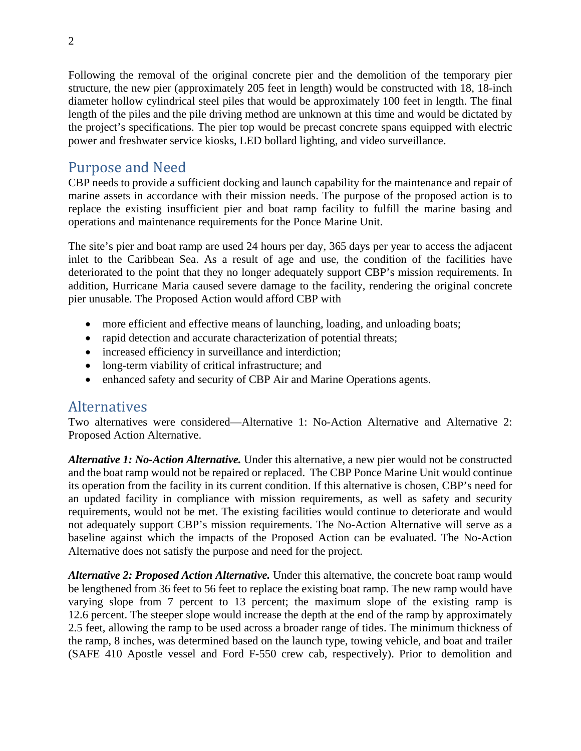Following the removal of the original concrete pier and the demolition of the temporary pier structure, the new pier (approximately 205 feet in length) would be constructed with 18, 18-inch diameter hollow cylindrical steel piles that would be approximately 100 feet in length. The final length of the piles and the pile driving method are unknown at this time and would be dictated by the project's specifications. The pier top would be precast concrete spans equipped with electric power and freshwater service kiosks, LED bollard lighting, and video surveillance.

## Purpose and Need

CBP needs to provide a sufficient docking and launch capability for the maintenance and repair of marine assets in accordance with their mission needs. The purpose of the proposed action is to replace the existing insufficient pier and boat ramp facility to fulfill the marine basing and operations and maintenance requirements for the Ponce Marine Unit.

The site's pier and boat ramp are used 24 hours per day, 365 days per year to access the adjacent inlet to the Caribbean Sea. As a result of age and use, the condition of the facilities have deteriorated to the point that they no longer adequately support CBP's mission requirements. In addition, Hurricane Maria caused severe damage to the facility, rendering the original concrete pier unusable. The Proposed Action would afford CBP with

- more efficient and effective means of launching, loading, and unloading boats;
- rapid detection and accurate characterization of potential threats;
- increased efficiency in surveillance and interdiction;
- long-term viability of critical infrastructure; and
- enhanced safety and security of CBP Air and Marine Operations agents.

#### **Alternatives**

Two alternatives were considered—Alternative 1: No-Action Alternative and Alternative 2: Proposed Action Alternative.

*Alternative 1: No-Action Alternative.* Under this alternative, a new pier would not be constructed and the boat ramp would not be repaired or replaced. The CBP Ponce Marine Unit would continue its operation from the facility in its current condition. If this alternative is chosen, CBP's need for an updated facility in compliance with mission requirements, as well as safety and security requirements, would not be met. The existing facilities would continue to deteriorate and would not adequately support CBP's mission requirements. The No-Action Alternative will serve as a baseline against which the impacts of the Proposed Action can be evaluated. The No-Action Alternative does not satisfy the purpose and need for the project.

*Alternative 2: Proposed Action Alternative.* Under this alternative, the concrete boat ramp would be lengthened from 36 feet to 56 feet to replace the existing boat ramp. The new ramp would have varying slope from 7 percent to 13 percent; the maximum slope of the existing ramp is 12.6 percent. The steeper slope would increase the depth at the end of the ramp by approximately 2.5 feet, allowing the ramp to be used across a broader range of tides. The minimum thickness of the ramp, 8 inches, was determined based on the launch type, towing vehicle, and boat and trailer (SAFE 410 Apostle vessel and Ford F-550 crew cab, respectively). Prior to demolition and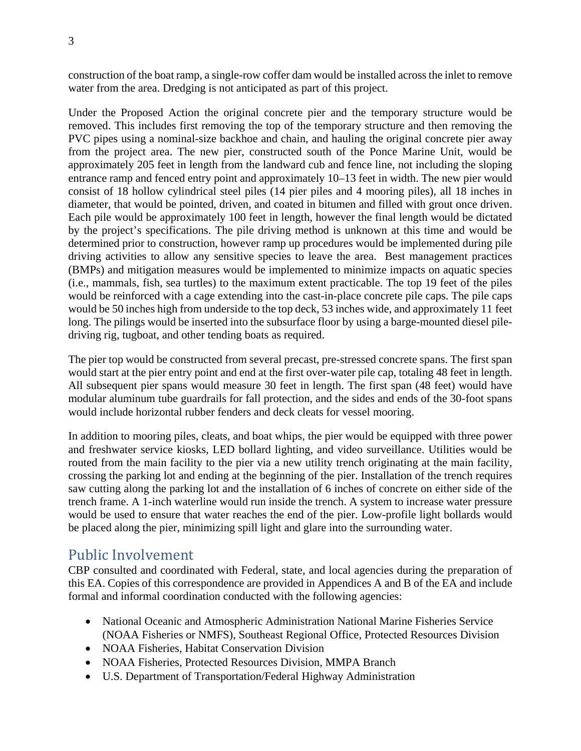construction of the boat ramp, a single-row coffer dam would be installed across the inlet to remove water from the area. Dredging is not anticipated as part of this project.

Under the Proposed Action the original concrete pier and the temporary structure would be removed. This includes first removing the top of the temporary structure and then removing the PVC pipes using a nominal-size backhoe and chain, and hauling the original concrete pier away from the project area. The new pier, constructed south of the Ponce Marine Unit, would be approximately 205 feet in length from the landward cub and fence line, not including the sloping entrance ramp and fenced entry point and approximately 10–13 feet in width. The new pier would consist of 18 hollow cylindrical steel piles (14 pier piles and 4 mooring piles), all 18 inches in diameter, that would be pointed, driven, and coated in bitumen and filled with grout once driven. Each pile would be approximately 100 feet in length, however the final length would be dictated by the project's specifications. The pile driving method is unknown at this time and would be determined prior to construction, however ramp up procedures would be implemented during pile driving activities to allow any sensitive species to leave the area. Best management practices (BMPs) and mitigation measures would be implemented to minimize impacts on aquatic species (i.e., mammals, fish, sea turtles) to the maximum extent practicable. The top 19 feet of the piles would be reinforced with a cage extending into the cast-in-place concrete pile caps. The pile caps would be 50 inches high from underside to the top deck, 53 inches wide, and approximately 11 feet long. The pilings would be inserted into the subsurface floor by using a barge-mounted diesel piledriving rig, tugboat, and other tending boats as required.

The pier top would be constructed from several precast, pre-stressed concrete spans. The first span would start at the pier entry point and end at the first over-water pile cap, totaling 48 feet in length. All subsequent pier spans would measure 30 feet in length. The first span (48 feet) would have modular aluminum tube guardrails for fall protection, and the sides and ends of the 30-foot spans would include horizontal rubber fenders and deck cleats for vessel mooring.

In addition to mooring piles, cleats, and boat whips, the pier would be equipped with three power and freshwater service kiosks, LED bollard lighting, and video surveillance. Utilities would be routed from the main facility to the pier via a new utility trench originating at the main facility, crossing the parking lot and ending at the beginning of the pier. Installation of the trench requires saw cutting along the parking lot and the installation of 6 inches of concrete on either side of the trench frame. A 1-inch waterline would run inside the trench. A system to increase water pressure would be used to ensure that water reaches the end of the pier. Low-profile light bollards would be placed along the pier, minimizing spill light and glare into the surrounding water.

## Public Involvement

CBP consulted and coordinated with Federal, state, and local agencies during the preparation of this EA. Copies of this correspondence are provided in Appendices A and B of the EA and include formal and informal coordination conducted with the following agencies:

- National Oceanic and Atmospheric Administration National Marine Fisheries Service (NOAA Fisheries or NMFS), Southeast Regional Office, Protected Resources Division
- NOAA Fisheries, Habitat Conservation Division
- NOAA Fisheries, Protected Resources Division, MMPA Branch
- U.S. Department of Transportation/Federal Highway Administration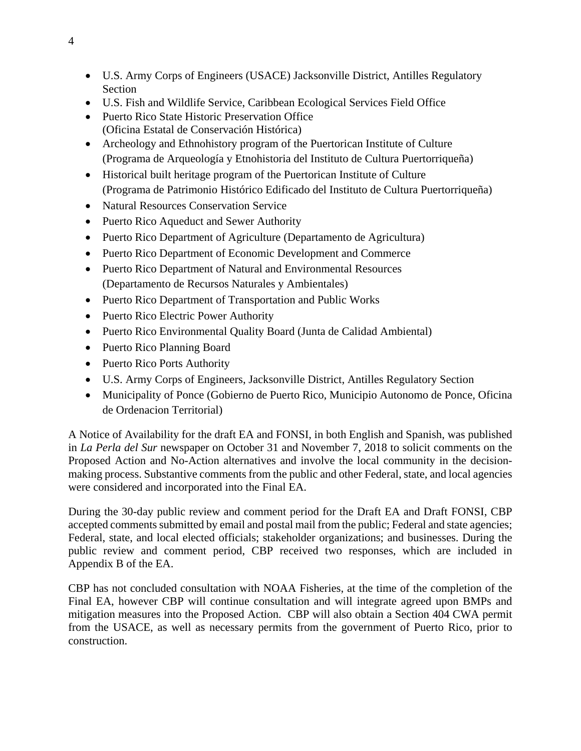- U.S. Army Corps of Engineers (USACE) Jacksonville District, Antilles Regulatory Section
- U.S. Fish and Wildlife Service, Caribbean Ecological Services Field Office
- Puerto Rico State Historic Preservation Office (Oficina Estatal de Conservación Histórica)
- Archeology and Ethnohistory program of the Puertorican Institute of Culture (Programa de Arqueología y Etnohistoria del Instituto de Cultura Puertorriqueña)
- Historical built heritage program of the Puertorican Institute of Culture (Programa de Patrimonio Histórico Edificado del Instituto de Cultura Puertorriqueña)
- Natural Resources Conservation Service
- Puerto Rico Aqueduct and Sewer Authority
- Puerto Rico Department of Agriculture (Departamento de Agricultura)
- Puerto Rico Department of Economic Development and Commerce
- Puerto Rico Department of Natural and Environmental Resources (Departamento de Recursos Naturales y Ambientales)
- Puerto Rico Department of Transportation and Public Works
- Puerto Rico Electric Power Authority
- Puerto Rico Environmental Quality Board (Junta de Calidad Ambiental)
- Puerto Rico Planning Board
- Puerto Rico Ports Authority
- U.S. Army Corps of Engineers, Jacksonville District, Antilles Regulatory Section
- Municipality of Ponce (Gobierno de Puerto Rico, Municipio Autonomo de Ponce, Oficina de Ordenacion Territorial)

A Notice of Availability for the draft EA and FONSI, in both English and Spanish, was published in *La Perla del Sur* newspaper on October 31 and November 7, 2018 to solicit comments on the Proposed Action and No-Action alternatives and involve the local community in the decisionmaking process. Substantive comments from the public and other Federal, state, and local agencies were considered and incorporated into the Final EA.

During the 30-day public review and comment period for the Draft EA and Draft FONSI, CBP accepted comments submitted by email and postal mail from the public; Federal and state agencies; Federal, state, and local elected officials; stakeholder organizations; and businesses. During the public review and comment period, CBP received two responses, which are included in Appendix B of the EA.

CBP has not concluded consultation with NOAA Fisheries, at the time of the completion of the Final EA, however CBP will continue consultation and will integrate agreed upon BMPs and mitigation measures into the Proposed Action. CBP will also obtain a Section 404 CWA permit from the USACE, as well as necessary permits from the government of Puerto Rico, prior to construction.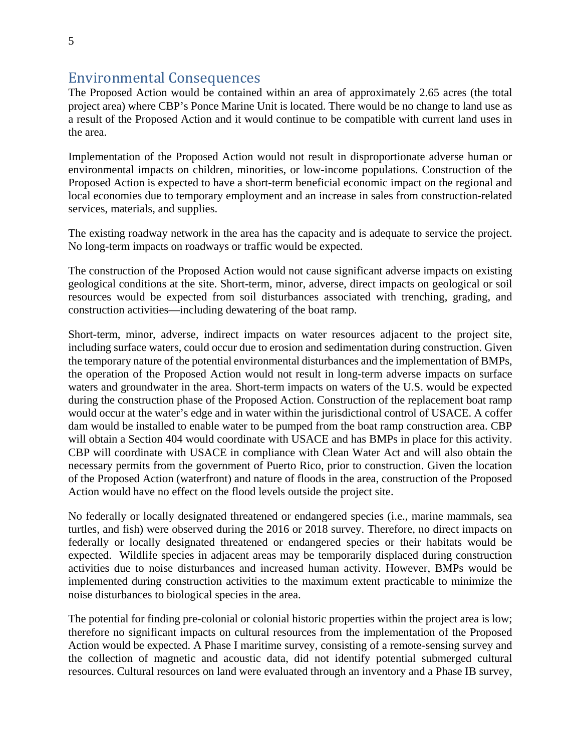## Environmental Consequences

The Proposed Action would be contained within an area of approximately 2.65 acres (the total project area) where CBP's Ponce Marine Unit is located. There would be no change to land use as a result of the Proposed Action and it would continue to be compatible with current land uses in the area.

Implementation of the Proposed Action would not result in disproportionate adverse human or environmental impacts on children, minorities, or low-income populations. Construction of the Proposed Action is expected to have a short-term beneficial economic impact on the regional and local economies due to temporary employment and an increase in sales from construction-related services, materials, and supplies.

The existing roadway network in the area has the capacity and is adequate to service the project. No long-term impacts on roadways or traffic would be expected.

The construction of the Proposed Action would not cause significant adverse impacts on existing geological conditions at the site. Short-term, minor, adverse, direct impacts on geological or soil resources would be expected from soil disturbances associated with trenching, grading, and construction activities—including dewatering of the boat ramp.

Short-term, minor, adverse, indirect impacts on water resources adjacent to the project site, including surface waters, could occur due to erosion and sedimentation during construction. Given the temporary nature of the potential environmental disturbances and the implementation of BMPs, the operation of the Proposed Action would not result in long-term adverse impacts on surface waters and groundwater in the area. Short-term impacts on waters of the U.S. would be expected during the construction phase of the Proposed Action. Construction of the replacement boat ramp would occur at the water's edge and in water within the jurisdictional control of USACE. A coffer dam would be installed to enable water to be pumped from the boat ramp construction area. CBP will obtain a Section 404 would coordinate with USACE and has BMPs in place for this activity. CBP will coordinate with USACE in compliance with Clean Water Act and will also obtain the necessary permits from the government of Puerto Rico, prior to construction. Given the location of the Proposed Action (waterfront) and nature of floods in the area, construction of the Proposed Action would have no effect on the flood levels outside the project site.

No federally or locally designated threatened or endangered species (i.e., marine mammals, sea turtles, and fish) were observed during the 2016 or 2018 survey. Therefore, no direct impacts on federally or locally designated threatened or endangered species or their habitats would be expected. Wildlife species in adjacent areas may be temporarily displaced during construction activities due to noise disturbances and increased human activity. However, BMPs would be implemented during construction activities to the maximum extent practicable to minimize the noise disturbances to biological species in the area.

The potential for finding pre-colonial or colonial historic properties within the project area is low; therefore no significant impacts on cultural resources from the implementation of the Proposed Action would be expected. A Phase I maritime survey, consisting of a remote-sensing survey and the collection of magnetic and acoustic data, did not identify potential submerged cultural resources. Cultural resources on land were evaluated through an inventory and a Phase IB survey,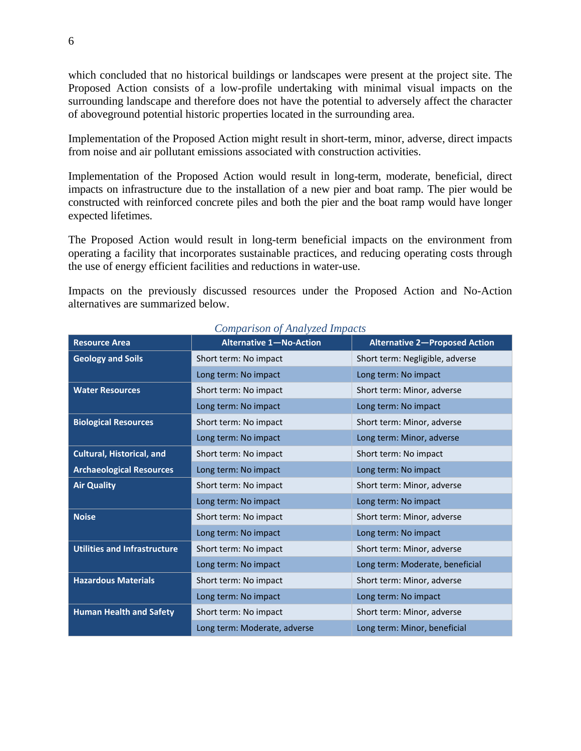which concluded that no historical buildings or landscapes were present at the project site. The Proposed Action consists of a low-profile undertaking with minimal visual impacts on the surrounding landscape and therefore does not have the potential to adversely affect the character of aboveground potential historic properties located in the surrounding area.

Implementation of the Proposed Action might result in short-term, minor, adverse, direct impacts from noise and air pollutant emissions associated with construction activities.

Implementation of the Proposed Action would result in long-term, moderate, beneficial, direct impacts on infrastructure due to the installation of a new pier and boat ramp. The pier would be constructed with reinforced concrete piles and both the pier and the boat ramp would have longer expected lifetimes.

The Proposed Action would result in long-term beneficial impacts on the environment from operating a facility that incorporates sustainable practices, and reducing operating costs through the use of energy efficient facilities and reductions in water-use.

Impacts on the previously discussed resources under the Proposed Action and No-Action alternatives are summarized below.

| <b>Resource Area</b>                | <b>Alternative 1-No-Action</b> | <b>Alternative 2-Proposed Action</b> |
|-------------------------------------|--------------------------------|--------------------------------------|
| <b>Geology and Soils</b>            | Short term: No impact          | Short term: Negligible, adverse      |
|                                     | Long term: No impact           | Long term: No impact                 |
| <b>Water Resources</b>              | Short term: No impact          | Short term: Minor, adverse           |
|                                     | Long term: No impact           | Long term: No impact                 |
| <b>Biological Resources</b>         | Short term: No impact          | Short term: Minor, adverse           |
|                                     | Long term: No impact           | Long term: Minor, adverse            |
| <b>Cultural, Historical, and</b>    | Short term: No impact          | Short term: No impact                |
| <b>Archaeological Resources</b>     | Long term: No impact           | Long term: No impact                 |
| <b>Air Quality</b>                  | Short term: No impact          | Short term: Minor, adverse           |
|                                     | Long term: No impact           | Long term: No impact                 |
| <b>Noise</b>                        | Short term: No impact          | Short term: Minor, adverse           |
|                                     | Long term: No impact           | Long term: No impact                 |
| <b>Utilities and Infrastructure</b> | Short term: No impact          | Short term: Minor, adverse           |
|                                     | Long term: No impact           | Long term: Moderate, beneficial      |
| <b>Hazardous Materials</b>          | Short term: No impact          | Short term: Minor, adverse           |
|                                     | Long term: No impact           | Long term: No impact                 |
| <b>Human Health and Safety</b>      | Short term: No impact          | Short term: Minor, adverse           |
|                                     | Long term: Moderate, adverse   | Long term: Minor, beneficial         |

#### *Comparison of Analyzed Impacts*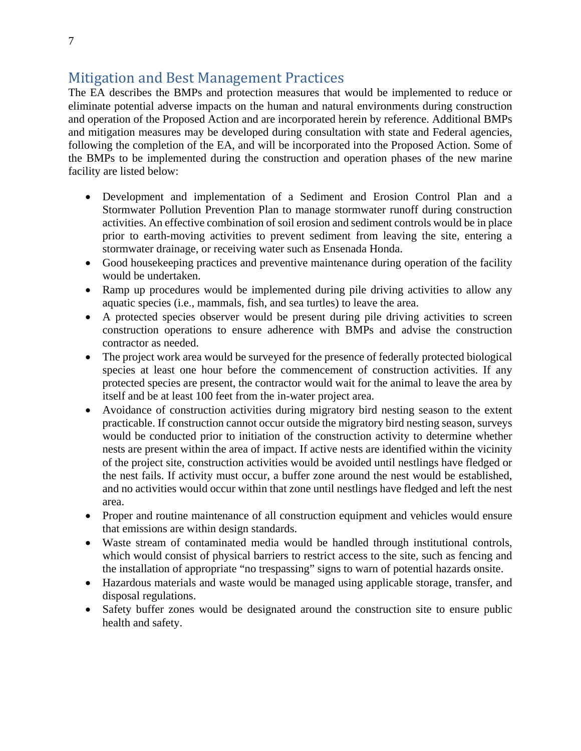# Mitigation and Best Management Practices

The EA describes the BMPs and protection measures that would be implemented to reduce or eliminate potential adverse impacts on the human and natural environments during construction and operation of the Proposed Action and are incorporated herein by reference. Additional BMPs and mitigation measures may be developed during consultation with state and Federal agencies, following the completion of the EA, and will be incorporated into the Proposed Action. Some of the BMPs to be implemented during the construction and operation phases of the new marine facility are listed below:

- Development and implementation of a Sediment and Erosion Control Plan and a Stormwater Pollution Prevention Plan to manage stormwater runoff during construction activities. An effective combination of soil erosion and sediment controls would be in place prior to earth-moving activities to prevent sediment from leaving the site, entering a stormwater drainage, or receiving water such as Ensenada Honda.
- Good housekeeping practices and preventive maintenance during operation of the facility would be undertaken.
- Ramp up procedures would be implemented during pile driving activities to allow any aquatic species (i.e., mammals, fish, and sea turtles) to leave the area.
- A protected species observer would be present during pile driving activities to screen construction operations to ensure adherence with BMPs and advise the construction contractor as needed.
- The project work area would be surveyed for the presence of federally protected biological species at least one hour before the commencement of construction activities. If any protected species are present, the contractor would wait for the animal to leave the area by itself and be at least 100 feet from the in-water project area.
- Avoidance of construction activities during migratory bird nesting season to the extent practicable. If construction cannot occur outside the migratory bird nesting season, surveys would be conducted prior to initiation of the construction activity to determine whether nests are present within the area of impact. If active nests are identified within the vicinity of the project site, construction activities would be avoided until nestlings have fledged or the nest fails. If activity must occur, a buffer zone around the nest would be established, and no activities would occur within that zone until nestlings have fledged and left the nest area.
- Proper and routine maintenance of all construction equipment and vehicles would ensure that emissions are within design standards.
- Waste stream of contaminated media would be handled through institutional controls, which would consist of physical barriers to restrict access to the site, such as fencing and the installation of appropriate "no trespassing" signs to warn of potential hazards onsite.
- Hazardous materials and waste would be managed using applicable storage, transfer, and disposal regulations.
- Safety buffer zones would be designated around the construction site to ensure public health and safety.